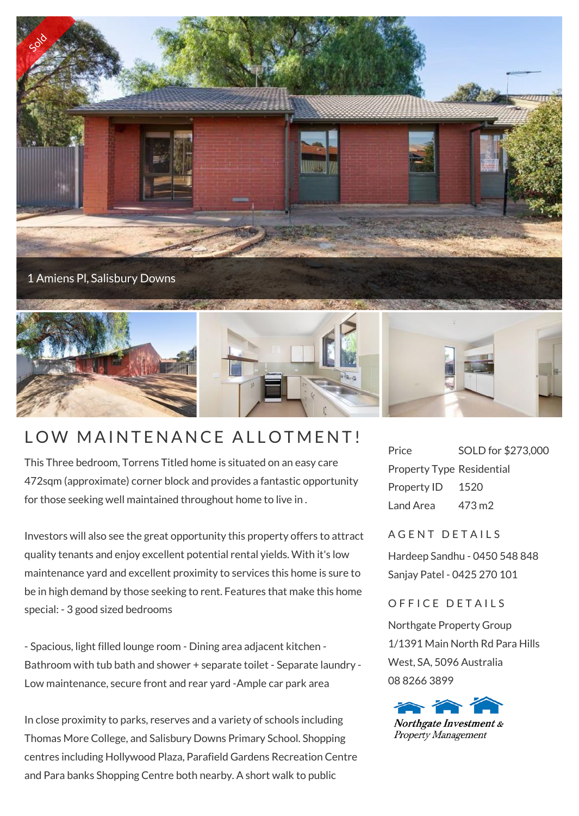

## LOW MAINTENANCE ALLOTMENT!

This Three bedroom, Torrens Titled home is situated on an easy care 472sqm (approximate) corner block and provides a fantastic opportunity for those seeking well maintained throughout home to live in .

Investors will also see the great opportunity this property offers to attract quality tenants and enjoy excellent potential rental yields. With it's low maintenance yard and excellent proximity to services this home is sure to be in high demand by those seeking to rent. Features that make this home special: - 3 good sized bedrooms

- Spacious, light filled lounge room - Dining area adjacent kitchen - Bathroom with tub bath and shower + separate toilet - Separate laundry - Low maintenance, secure front and rear yard -Ample car park area

In close proximity to parks, reserves and a variety of schools including Thomas More College, and Salisbury Downs Primary School. Shopping centres including Hollywood Plaza, Parafield Gardens Recreation Centre and Para banks Shopping Centre both nearby. A short walk to public

Price SOLD for \$273,000 Property Type Residential Property ID 1520 Land Area 473 m2

## A G F N T D F T A I I S

Hardeep Sandhu - 0450 548 848 Sanjay Patel - 0425 270 101

## OFFICE DETAILS

Northgate Property Group 1/1391 Main North Rd Para Hills West, SA, 5096 Australia 08 8266 3899